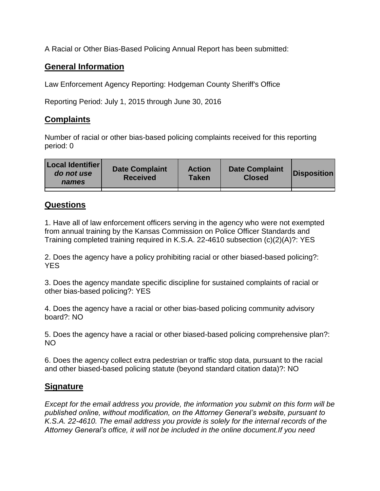A Racial or Other Bias-Based Policing Annual Report has been submitted:

## **General Information**

Law Enforcement Agency Reporting: Hodgeman County Sheriff's Office

Reporting Period: July 1, 2015 through June 30, 2016

## **Complaints**

Number of racial or other bias-based policing complaints received for this reporting period: 0

## **Questions**

1. Have all of law enforcement officers serving in the agency who were not exempted from annual training by the Kansas Commission on Police Officer Standards and Training completed training required in K.S.A. 22-4610 subsection (c)(2)(A)?: YES

2. Does the agency have a policy prohibiting racial or other biased-based policing?: YES

3. Does the agency mandate specific discipline for sustained complaints of racial or other bias-based policing?: YES

4. Does the agency have a racial or other bias-based policing community advisory board?: NO

5. Does the agency have a racial or other biased-based policing comprehensive plan?: NO

6. Does the agency collect extra pedestrian or traffic stop data, pursuant to the racial and other biased-based policing statute (beyond standard citation data)?: NO

## **Signature**

*Except for the email address you provide, the information you submit on this form will be published online, without modification, on the Attorney General's website, pursuant to K.S.A. 22-4610. The email address you provide is solely for the internal records of the Attorney General's office, it will not be included in the online document.If you need*